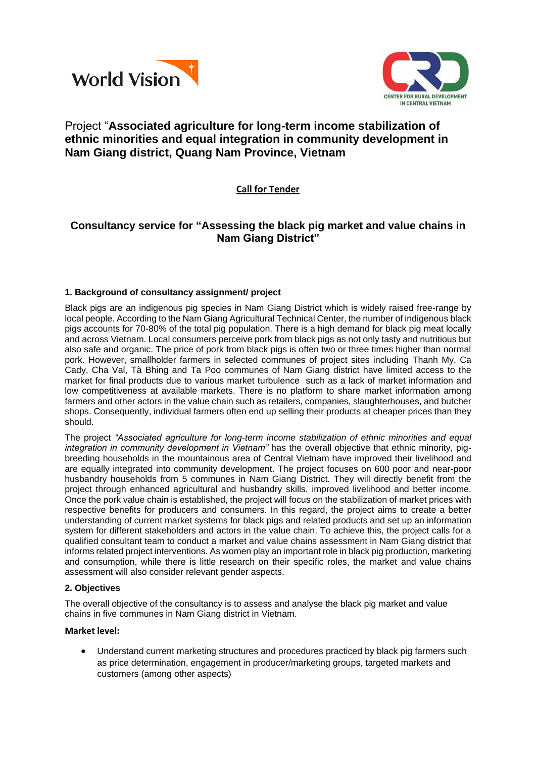



# Project "**Associated agriculture for long-term income stabilization of ethnic minorities and equal integration in community development in Nam Giang district, Quang Nam Province, Vietnam**

## **Call for Tender**

## **Consultancy service for "Assessing the black pig market and value chains in Nam Giang District"**

## **1. Background of consultancy assignment/ project**

Black pigs are an indigenous pig species in Nam Giang District which is widely raised free-range by local people. According to the Nam Giang Agricultural Technical Center, the number of indigenous black pigs accounts for 70-80% of the total pig population. There is a high demand for black pig meat locally and across Vietnam. Local consumers perceive pork from black pigs as not only tasty and nutritious but also safe and organic. The price of pork from black pigs is often two or three times higher than normal pork. However, smallholder farmers in selected communes of project sites including Thanh My, Ca Cady, Cha Val, Tà Bhing and Ta Poo communes of Nam Giang district have limited access to the market for final products due to various market turbulence such as a lack of market information and low competitiveness at available markets. There is no platform to share market information among farmers and other actors in the value chain such as retailers, companies, slaughterhouses, and butcher shops. Consequently, individual farmers often end up selling their products at cheaper prices than they should.

The project *"Associated agriculture for long-term income stabilization of ethnic minorities and equal integration in community development in Vietnam"* has the overall objective that ethnic minority, pigbreeding households in the mountainous area of Central Vietnam have improved their livelihood and are equally integrated into community development. The project focuses on 600 poor and near-poor husbandry households from 5 communes in Nam Giang District. They will directly benefit from the project through enhanced agricultural and husbandry skills, improved livelihood and better income. Once the pork value chain is established, the project will focus on the stabilization of market prices with respective benefits for producers and consumers. In this regard, the project aims to create a better understanding of current market systems for black pigs and related products and set up an information system for different stakeholders and actors in the value chain. To achieve this, the project calls for a qualified consultant team to conduct a market and value chains assessment in Nam Giang district that informs related project interventions. As women play an important role in black pig production, marketing and consumption, while there is little research on their specific roles, the market and value chains assessment will also consider relevant gender aspects.

## **2. Objectives**

The overall objective of the consultancy is to assess and analyse the black pig market and value chains in five communes in Nam Giang district in Vietnam.

## **Market level:**

 Understand current marketing structures and procedures practiced by black pig farmers such as price determination, engagement in producer/marketing groups, targeted markets and customers (among other aspects)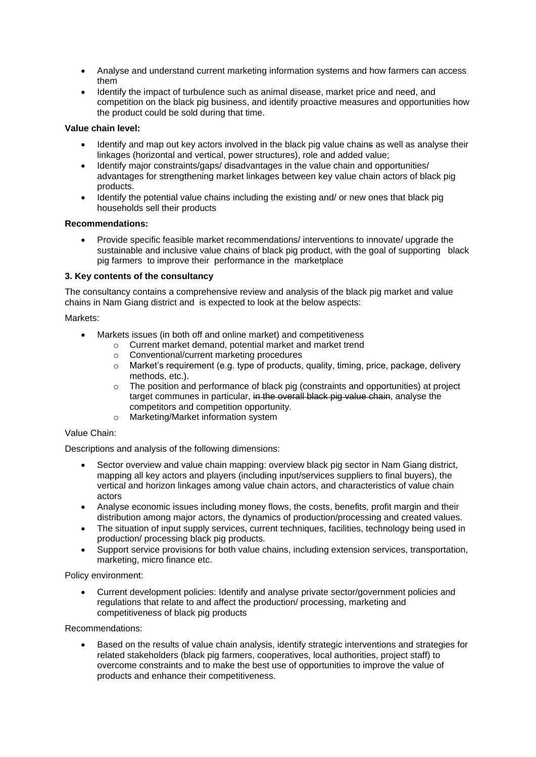- Analyse and understand current marketing information systems and how farmers can access them
- Identify the impact of turbulence such as animal disease, market price and need, and competition on the black pig business, and identify proactive measures and opportunities how the product could be sold during that time.

## **Value chain level:**

- Identify and map out key actors involved in the black pig value chains as well as analyse their linkages (horizontal and vertical, power structures), role and added value;
- Identify major constraints/gaps/ disadvantages in the value chain and opportunities/ advantages for strengthening market linkages between key value chain actors of black pig products.
- Identify the potential value chains including the existing and/ or new ones that black pig households sell their products

#### **Recommendations:**

 Provide specific feasible market recommendations/ interventions to innovate/ upgrade the sustainable and inclusive value chains of black pig product, with the goal of supporting black pig farmers to improve their performance in the marketplace

#### **3. Key contents of the consultancy**

The consultancy contains a comprehensive review and analysis of the black pig market and value chains in Nam Giang district and is expected to look at the below aspects:

#### Markets:

- Markets issues (in both off and online market) and competitiveness
	- o Current market demand, potential market and market trend
	- o Conventional/current marketing procedures
	- $\circ$  Market's requirement (e.g. type of products, quality, timing, price, package, delivery methods, etc.).
	- $\circ$  The position and performance of black pig (constraints and opportunities) at project target communes in particular, in the overall black pig value chain, analyse the competitors and competition opportunity.
	- o Marketing/Market information system

## Value Chain:

Descriptions and analysis of the following dimensions:

- Sector overview and value chain mapping: overview black pig sector in Nam Giang district, mapping all key actors and players (including input/services suppliers to final buyers), the vertical and horizon linkages among value chain actors, and characteristics of value chain actors
- Analyse economic issues including money flows, the costs, benefits, profit margin and their distribution among major actors, the dynamics of production/processing and created values.
- The situation of input supply services, current techniques, facilities, technology being used in production/ processing black pig products.
- Support service provisions for both value chains, including extension services, transportation, marketing, micro finance etc.

Policy environment:

 Current development policies: Identify and analyse private sector/government policies and regulations that relate to and affect the production/ processing, marketing and competitiveness of black pig products

#### Recommendations:

 Based on the results of value chain analysis, identify strategic interventions and strategies for related stakeholders (black pig farmers, cooperatives, local authorities, project staff) to overcome constraints and to make the best use of opportunities to improve the value of products and enhance their competitiveness.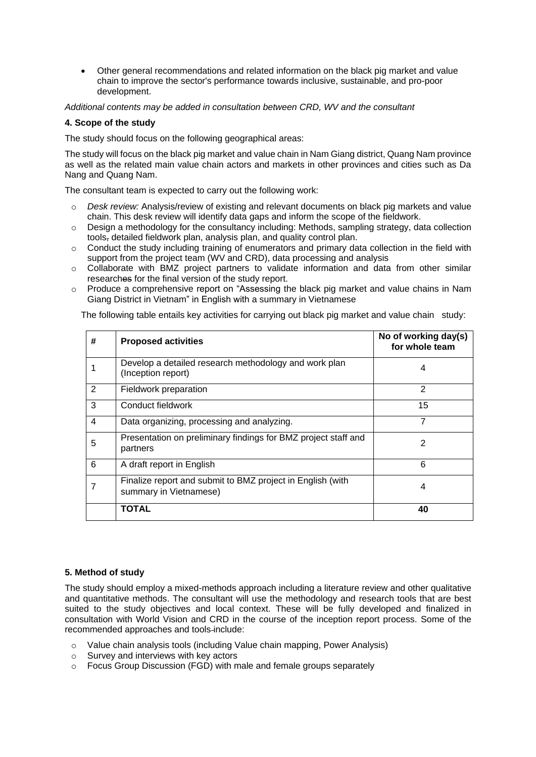Other general recommendations and related information on the black pig market and value chain to improve the sector's performance towards inclusive, sustainable, and pro-poor development.

*Additional contents may be added in consultation between CRD, WV and the consultant*

### **4. Scope of the study**

The study should focus on the following geographical areas:

The study will focus on the black pig market and value chain in Nam Giang district, Quang Nam province as well as the related main value chain actors and markets in other provinces and cities such as Da Nang and Quang Nam.

The consultant team is expected to carry out the following work:

- o *Desk review:* Analysis/review of existing and relevant documents on black pig markets and value chain. This desk review will identify data gaps and inform the scope of the fieldwork.
- $\circ$  Design a methodology for the consultancy including: Methods, sampling strategy, data collection tools, detailed fieldwork plan, analysis plan, and quality control plan.
- $\circ$  Conduct the study including training of enumerators and primary data collection in the field with support from the project team (WV and CRD), data processing and analysis
- o Collaborate with BMZ project partners to validate information and data from other similar researches for the final version of the study report.
- o Produce a comprehensive report on "Assessing the black pig market and value chains in Nam Giang District in Vietnam" in English with a summary in Vietnamese

The following table entails key activities for carrying out black pig market and value chain study:

| # | <b>Proposed activities</b>                                                           | No of working day(s)<br>for whole team |
|---|--------------------------------------------------------------------------------------|----------------------------------------|
|   | Develop a detailed research methodology and work plan<br>(Inception report)          | 4                                      |
| 2 | Fieldwork preparation                                                                | 2                                      |
| 3 | Conduct fieldwork                                                                    | 15                                     |
| 4 | Data organizing, processing and analyzing.                                           | $\overline{7}$                         |
| 5 | Presentation on preliminary findings for BMZ project staff and<br>partners           | 2                                      |
| 6 | A draft report in English                                                            | 6                                      |
| 7 | Finalize report and submit to BMZ project in English (with<br>summary in Vietnamese) | 4                                      |
|   | <b>TOTAL</b>                                                                         | 40                                     |

## **5. Method of study**

The study should employ a mixed-methods approach including a literature review and other qualitative and quantitative methods. The consultant will use the methodology and research tools that are best suited to the study objectives and local context. These will be fully developed and finalized in consultation with World Vision and CRD in the course of the inception report process. Some of the recommended approaches and tools include:

- o Value chain analysis tools (including Value chain mapping, Power Analysis)
- o Survey and interviews with key actors
- o Focus Group Discussion (FGD) with male and female groups separately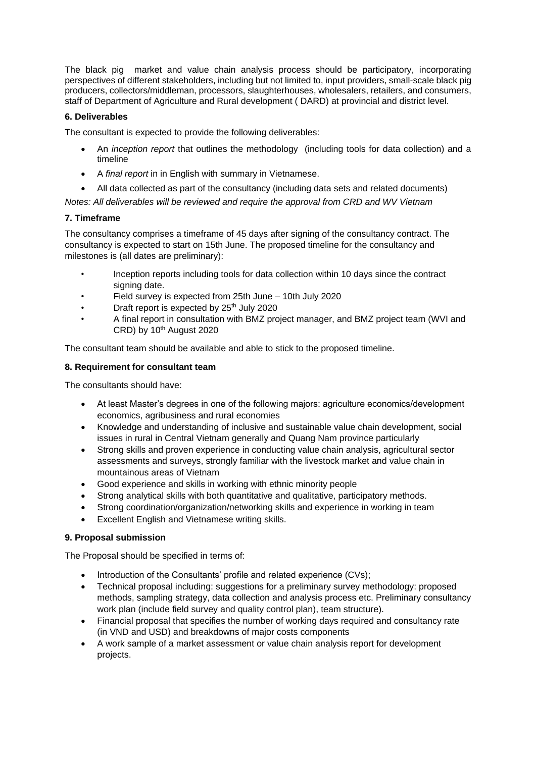The black pig market and value chain analysis process should be participatory, incorporating perspectives of different stakeholders, including but not limited to, input providers, small-scale black pig producers, collectors/middleman, processors, slaughterhouses, wholesalers, retailers, and consumers, staff of Department of Agriculture and Rural development ( DARD) at provincial and district level.

## **6. Deliverables**

The consultant is expected to provide the following deliverables:

- An *inception report* that outlines the methodology (including tools for data collection) and a timeline
- A *final report* in in English with summary in Vietnamese.
- All data collected as part of the consultancy (including data sets and related documents)

*Notes: All deliverables will be reviewed and require the approval from CRD and WV Vietnam*

## **7. Timeframe**

The consultancy comprises a timeframe of 45 days after signing of the consultancy contract. The consultancy is expected to start on 15th June. The proposed timeline for the consultancy and milestones is (all dates are preliminary):

- Inception reports including tools for data collection within 10 days since the contract signing date.
- Field survey is expected from 25th June 10th July 2020
- Draft report is expected by 25<sup>th</sup> July 2020
- A final report in consultation with BMZ project manager, and BMZ project team (WVI and  $CRD$ ) by 10<sup>th</sup> August 2020

The consultant team should be available and able to stick to the proposed timeline.

## **8. Requirement for consultant team**

The consultants should have:

- At least Master's degrees in one of the following majors: agriculture economics/development economics, agribusiness and rural economies
- Knowledge and understanding of inclusive and sustainable value chain development, social issues in rural in Central Vietnam generally and Quang Nam province particularly
- Strong skills and proven experience in conducting value chain analysis, agricultural sector assessments and surveys, strongly familiar with the livestock market and value chain in mountainous areas of Vietnam
- Good experience and skills in working with ethnic minority people
- Strong analytical skills with both quantitative and qualitative, participatory methods.
- Strong coordination/organization/networking skills and experience in working in team
- Excellent English and Vietnamese writing skills.

## **9. Proposal submission**

The Proposal should be specified in terms of:

- Introduction of the Consultants' profile and related experience (CVs);
- Technical proposal including: suggestions for a preliminary survey methodology: proposed methods, sampling strategy, data collection and analysis process etc. Preliminary consultancy work plan (include field survey and quality control plan), team structure).
- Financial proposal that specifies the number of working days required and consultancy rate (in VND and USD) and breakdowns of major costs components
- A work sample of a market assessment or value chain analysis report for development projects.